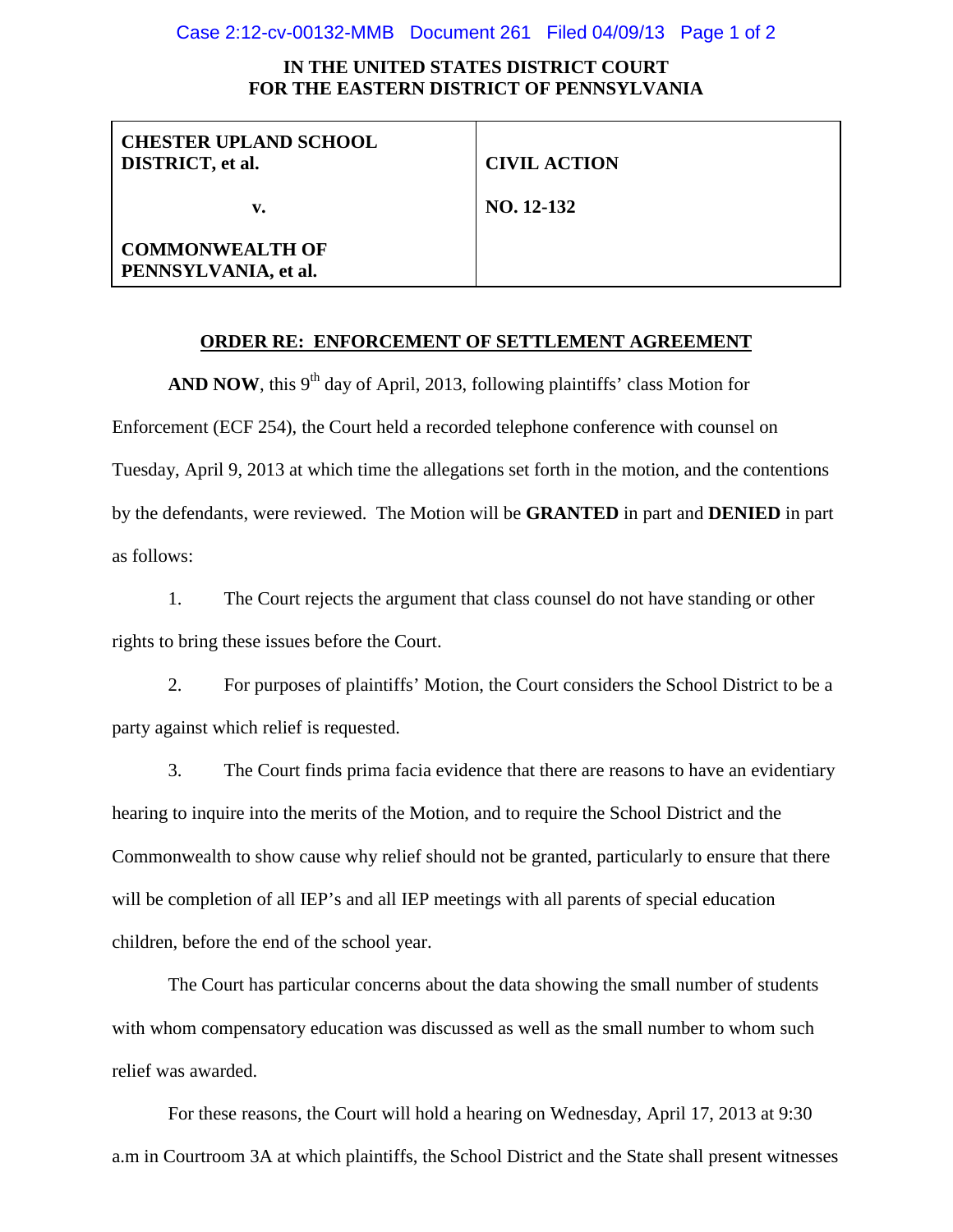#### Case 2:12-cv-00132-MMB Document 261 Filed 04/09/13 Page 1 of 2

# **IN THE UNITED STATES DISTRICT COURT FOR THE EASTERN DISTRICT OF PENNSYLVANIA**

| <b>CHESTER UPLAND SCHOOL</b><br><b>DISTRICT</b> , et al. | <b>CIVIL ACTION</b> |
|----------------------------------------------------------|---------------------|
| v.                                                       | NO. 12-132          |
| <b>COMMONWEALTH OF</b><br>PENNSYLVANIA, et al.           |                     |

# **ORDER RE: ENFORCEMENT OF SETTLEMENT AGREEMENT**

**AND NOW**, this  $9<sup>th</sup>$  day of April, 2013, following plaintiffs' class Motion for Enforcement (ECF 254), the Court held a recorded telephone conference with counsel on Tuesday, April 9, 2013 at which time the allegations set forth in the motion, and the contentions by the defendants, were reviewed. The Motion will be **GRANTED** in part and **DENIED** in part as follows:

1. The Court rejects the argument that class counsel do not have standing or other rights to bring these issues before the Court.

2. For purposes of plaintiffs' Motion, the Court considers the School District to be a party against which relief is requested.

3. The Court finds prima facia evidence that there are reasons to have an evidentiary hearing to inquire into the merits of the Motion, and to require the School District and the Commonwealth to show cause why relief should not be granted, particularly to ensure that there will be completion of all IEP's and all IEP meetings with all parents of special education children, before the end of the school year.

The Court has particular concerns about the data showing the small number of students with whom compensatory education was discussed as well as the small number to whom such relief was awarded.

For these reasons, the Court will hold a hearing on Wednesday, April 17, 2013 at 9:30 a.m in Courtroom 3A at which plaintiffs, the School District and the State shall present witnesses